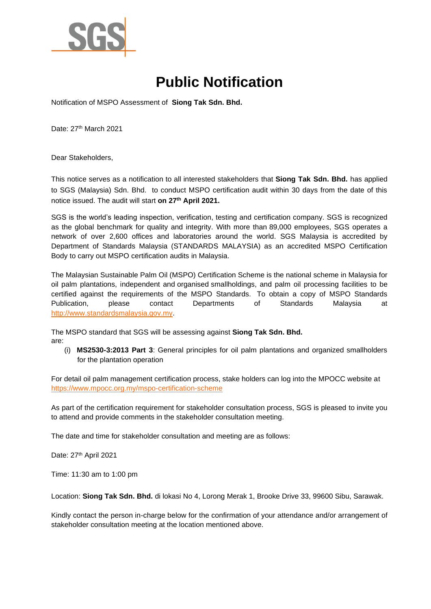

## **Public Notification**

Notification of MSPO Assessment of **Siong Tak Sdn. Bhd.**

Date: 27<sup>th</sup> March 2021

Dear Stakeholders,

This notice serves as a notification to all interested stakeholders that **Siong Tak Sdn. Bhd.** has applied to SGS (Malaysia) Sdn. Bhd. to conduct MSPO certification audit within 30 days from the date of this notice issued. The audit will start **on 27th April 2021.**

SGS is the world's leading inspection, verification, testing and certification company. SGS is recognized as the global benchmark for quality and integrity. With more than 89,000 employees, SGS operates a network of over 2,600 offices and laboratories around the world. SGS Malaysia is accredited by Department of Standards Malaysia (STANDARDS MALAYSIA) as an accredited MSPO Certification Body to carry out MSPO certification audits in Malaysia.

The Malaysian Sustainable Palm Oil (MSPO) Certification Scheme is the national scheme in Malaysia for oil palm plantations, independent and organised smallholdings, and palm oil processing facilities to be certified against the requirements of the MSPO Standards. To obtain a copy of MSPO Standards Publication, please contact Departments of Standards Malaysia at [http://www.standardsmalaysia.gov.my.](http://www.standardsmalaysia.gov.my/)

The MSPO standard that SGS will be assessing against **Siong Tak Sdn. Bhd.**

are:

(i) **MS2530-3:2013 Part 3**: General principles for oil palm plantations and organized smallholders for the plantation operation

For detail oil palm management certification process, stake holders can log into the MPOCC website at <https://www.mpocc.org.my/mspo-certification-scheme>

As part of the certification requirement for stakeholder consultation process, SGS is pleased to invite you to attend and provide comments in the stakeholder consultation meeting.

The date and time for stakeholder consultation and meeting are as follows:

Date: 27<sup>th</sup> April 2021

Time: 11:30 am to 1:00 pm

Location: **Siong Tak Sdn. Bhd.** di lokasi No 4, Lorong Merak 1, Brooke Drive 33, 99600 Sibu, Sarawak.

Kindly contact the person in-charge below for the confirmation of your attendance and/or arrangement of stakeholder consultation meeting at the location mentioned above.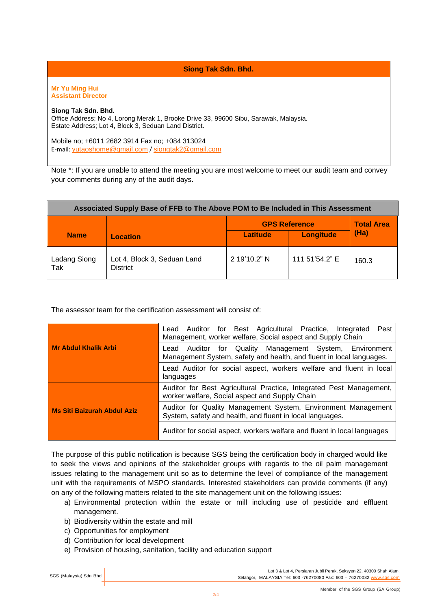**Siong Tak Sdn. Bhd.**

**Mr Yu Ming Hui Assistant Director** 

## **Siong Tak Sdn. Bhd.**

Office Address; No 4, Lorong Merak 1, Brooke Drive 33, 99600 Sibu, Sarawak, Malaysia. Estate Address; Lot 4, Block 3, Seduan Land District.

Mobile no; +6011 2682 3914 Fax no; +084 313024 E-mail: [yutaoshome@gmail.com](mailto:yutaoshome@gmail.com) / [siongtak2@gmail.com](mailto:siongtak2@gmail.com)

Note \*: If you are unable to attend the meeting you are most welcome to meet our audit team and convey your comments during any of the audit days.

| Associated Supply Base of FFB to The Above POM to Be Included in This Assessment |                                                |                      |                |                   |  |  |
|----------------------------------------------------------------------------------|------------------------------------------------|----------------------|----------------|-------------------|--|--|
|                                                                                  |                                                | <b>GPS Reference</b> |                | <b>Total Area</b> |  |  |
| <b>Name</b>                                                                      | <b>Location</b>                                | Latitude             | Longitude      | (Ha)              |  |  |
| Ladang Siong<br>Tak                                                              | Lot 4, Block 3, Seduan Land<br><b>District</b> | 2 19'10.2" N         | 111 51'54.2" E | 160.3             |  |  |

The assessor team for the certification assessment will consist of:

|                                    | Lead Auditor for Best Agricultural Practice,<br>Pest<br>Integrated<br>Management, worker welfare, Social aspect and Supply Chain   |  |  |
|------------------------------------|------------------------------------------------------------------------------------------------------------------------------------|--|--|
| <b>Mr Abdul Khalik Arbi</b>        | Auditor for Quality Management System, Environment<br>Lead<br>Management System, safety and health, and fluent in local languages. |  |  |
|                                    | Lead Auditor for social aspect, workers welfare and fluent in local<br>languages                                                   |  |  |
|                                    | Auditor for Best Agricultural Practice, Integrated Pest Management,<br>worker welfare, Social aspect and Supply Chain              |  |  |
| <b>Ms Siti Baizurah Abdul Aziz</b> | Auditor for Quality Management System, Environment Management<br>System, safety and health, and fluent in local languages.         |  |  |
|                                    | Auditor for social aspect, workers welfare and fluent in local languages                                                           |  |  |

The purpose of this public notification is because SGS being the certification body in charged would like to seek the views and opinions of the stakeholder groups with regards to the oil palm management issues relating to the management unit so as to determine the level of compliance of the management unit with the requirements of MSPO standards. Interested stakeholders can provide comments (if any) on any of the following matters related to the site management unit on the following issues:

- a) Environmental protection within the estate or mill including use of pesticide and effluent management.
- b) Biodiversity within the estate and mill
- c) Opportunities for employment
- d) Contribution for local development
- e) Provision of housing, sanitation, facility and education support

Lot 3 & Lot 4, Persiaran Jubli Perak, Seksyen 22, 40300 Shah Alam, SGS (Malaysia) Sdn Bhd | Selangor, MALAYSIA Tel: 603 -76270080 Fax: 603 -76270082 [www.sgs.com](http://www.sgs.com/)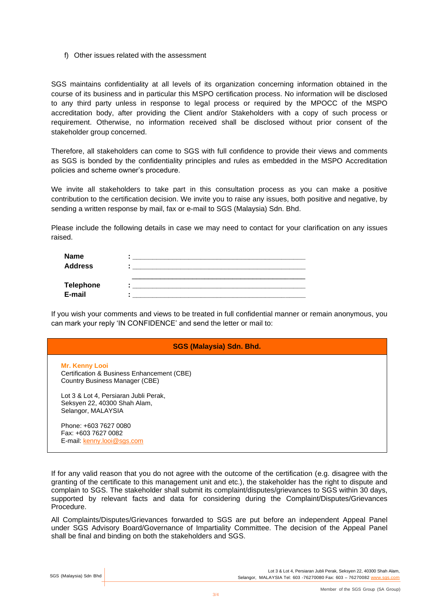f) Other issues related with the assessment

SGS maintains confidentiality at all levels of its organization concerning information obtained in the course of its business and in particular this MSPO certification process. No information will be disclosed to any third party unless in response to legal process or required by the MPOCC of the MSPO accreditation body, after providing the Client and/or Stakeholders with a copy of such process or requirement. Otherwise, no information received shall be disclosed without prior consent of the stakeholder group concerned.

Therefore, all stakeholders can come to SGS with full confidence to provide their views and comments as SGS is bonded by the confidentiality principles and rules as embedded in the MSPO Accreditation policies and scheme owner's procedure.

We invite all stakeholders to take part in this consultation process as you can make a positive contribution to the certification decision. We invite you to raise any issues, both positive and negative, by sending a written response by mail, fax or e-mail to SGS (Malaysia) Sdn. Bhd.

Please include the following details in case we may need to contact for your clarification on any issues raised.

| <b>Name</b>      |   |  |
|------------------|---|--|
| <b>Address</b>   |   |  |
|                  |   |  |
| <b>Telephone</b> |   |  |
| E-mail           | ٠ |  |

If you wish your comments and views to be treated in full confidential manner or remain anonymous, you can mark your reply 'IN CONFIDENCE' and send the letter or mail to:

| <b>SGS (Malaysia) Sdn. Bhd.</b>                                                                                                                |
|------------------------------------------------------------------------------------------------------------------------------------------------|
| <b>Mr. Kenny Looi</b><br>Certification & Business Enhancement (CBE)<br>Country Business Manager (CBE)<br>Lot 3 & Lot 4, Persiaran Jubli Perak, |
| Seksyen 22, 40300 Shah Alam,<br>Selangor, MALAYSIA                                                                                             |
| Phone: +603 7627 0080<br>Fax: +603 7627 0082<br>E-mail: kenny.looi@sgs.com                                                                     |

If for any valid reason that you do not agree with the outcome of the certification (e.g. disagree with the granting of the certificate to this management unit and etc.), the stakeholder has the right to dispute and complain to SGS. The stakeholder shall submit its complaint/disputes/grievances to SGS within 30 days, supported by relevant facts and data for considering during the Complaint/Disputes/Grievances Procedure.

All Complaints/Disputes/Grievances forwarded to SGS are put before an independent Appeal Panel under SGS Advisory Board/Governance of Impartiality Committee. The decision of the Appeal Panel shall be final and binding on both the stakeholders and SGS.